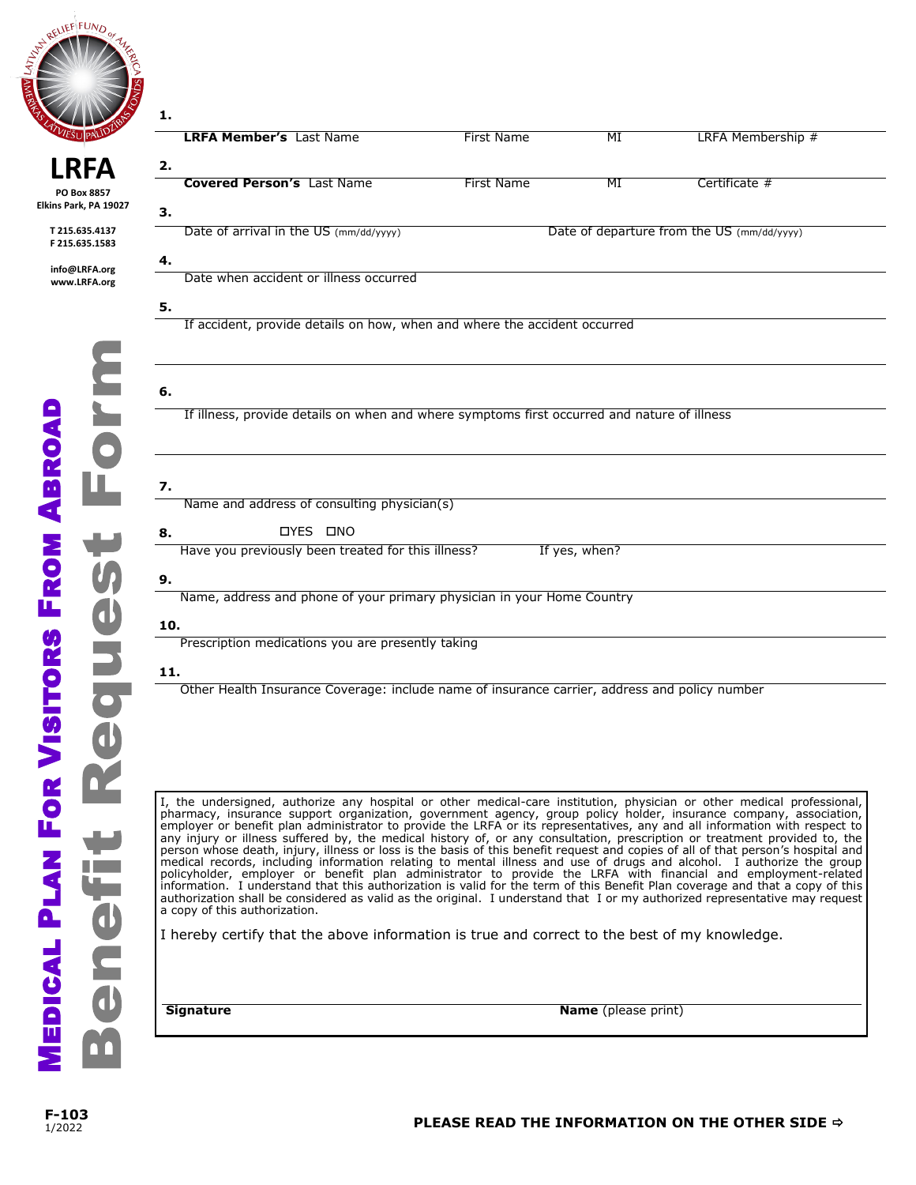

**1.** 

|                                         | <b>LRFA Member's Last Name</b>                                                                                                                                                                                                                                                                                                                                                 | <b>First Name</b> | $\overline{\text{MI}}$     | LRFA Membership #                          |
|-----------------------------------------|--------------------------------------------------------------------------------------------------------------------------------------------------------------------------------------------------------------------------------------------------------------------------------------------------------------------------------------------------------------------------------|-------------------|----------------------------|--------------------------------------------|
| LRFA                                    | 2.                                                                                                                                                                                                                                                                                                                                                                             |                   |                            |                                            |
| PO Box 8857                             | <b>Covered Person's Last Name</b>                                                                                                                                                                                                                                                                                                                                              | <b>First Name</b> | ΜI                         | Certificate #                              |
| Elkins Park, PA 19027<br>T 215.635.4137 | 3.<br>Date of arrival in the US (mm/dd/yyyy)                                                                                                                                                                                                                                                                                                                                   |                   |                            |                                            |
| F 215.635.1583                          |                                                                                                                                                                                                                                                                                                                                                                                |                   |                            | Date of departure from the US (mm/dd/yyyy) |
| info@LRFA.org<br>www.LRFA.org           | 4.<br>Date when accident or illness occurred                                                                                                                                                                                                                                                                                                                                   |                   |                            |                                            |
|                                         | 5.                                                                                                                                                                                                                                                                                                                                                                             |                   |                            |                                            |
|                                         | If accident, provide details on how, when and where the accident occurred                                                                                                                                                                                                                                                                                                      |                   |                            |                                            |
|                                         |                                                                                                                                                                                                                                                                                                                                                                                |                   |                            |                                            |
|                                         | 6.                                                                                                                                                                                                                                                                                                                                                                             |                   |                            |                                            |
|                                         | If illness, provide details on when and where symptoms first occurred and nature of illness                                                                                                                                                                                                                                                                                    |                   |                            |                                            |
|                                         |                                                                                                                                                                                                                                                                                                                                                                                |                   |                            |                                            |
|                                         | 7.                                                                                                                                                                                                                                                                                                                                                                             |                   |                            |                                            |
|                                         | Name and address of consulting physician(s)                                                                                                                                                                                                                                                                                                                                    |                   |                            |                                            |
|                                         | <b>OYES ONO</b><br>8.<br>Have you previously been treated for this illness?                                                                                                                                                                                                                                                                                                    |                   | If yes, when?              |                                            |
|                                         | 9.                                                                                                                                                                                                                                                                                                                                                                             |                   |                            |                                            |
|                                         | Name, address and phone of your primary physician in your Home Country                                                                                                                                                                                                                                                                                                         |                   |                            |                                            |
| SITORS                                  | 10.                                                                                                                                                                                                                                                                                                                                                                            |                   |                            |                                            |
|                                         | Prescription medications you are presently taking                                                                                                                                                                                                                                                                                                                              |                   |                            |                                            |
|                                         | 11.<br>Other Health Insurance Coverage: include name of insurance carrier, address and policy number                                                                                                                                                                                                                                                                           |                   |                            |                                            |
|                                         |                                                                                                                                                                                                                                                                                                                                                                                |                   |                            |                                            |
|                                         |                                                                                                                                                                                                                                                                                                                                                                                |                   |                            |                                            |
|                                         |                                                                                                                                                                                                                                                                                                                                                                                |                   |                            |                                            |
| O                                       | the undersigned, authorize any hospital or other medical-care institution, physician or other medical professional,                                                                                                                                                                                                                                                            |                   |                            |                                            |
|                                         | pharmacy, insurance support organization, government agency, group policy holder, insurance company, association,<br>employer or benefit plan administrator to provide the LRFA or its representatives, any and all information with respect to<br>any injury or illness suffered by, the medical history of, or any consultation, prescription or treatment provided to, the  |                   |                            |                                            |
|                                         | person whose death, injury, illness or loss is the basis of this benefit request and copies of all of that person's hospital and<br>medical records, including information relating to mental illness and use of drugs and alcohol. I authorize the group                                                                                                                      |                   |                            |                                            |
|                                         | policyholder, employer or benefit plan administrator to provide the LRFA with financial and employment-related<br>information. I understand that this authorization is valid for the term of this Benefit Plan coverage and that a copy of this<br>authorization shall be considered as valid as the original. I understand that I or my authorized representative may request |                   |                            |                                            |
| $\mathbf 0$                             | a copy of this authorization.                                                                                                                                                                                                                                                                                                                                                  |                   |                            |                                            |
| <b>MEDICAL PLAN</b><br>$\blacksquare$   | I hereby certify that the above information is true and correct to the best of my knowledge.                                                                                                                                                                                                                                                                                   |                   |                            |                                            |
| 1                                       | <b>Signature</b>                                                                                                                                                                                                                                                                                                                                                               |                   | <b>Name</b> (please print) |                                            |
|                                         |                                                                                                                                                                                                                                                                                                                                                                                |                   |                            |                                            |